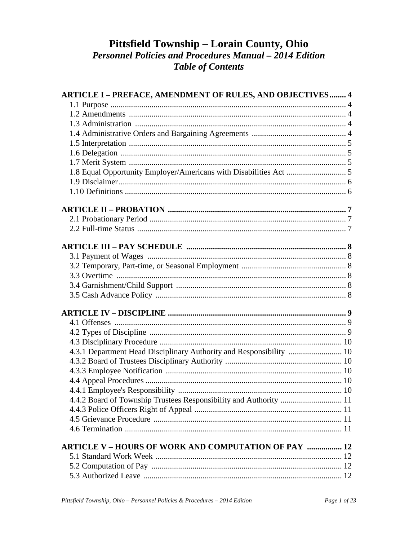# Pittsfield Township - Lorain County, Ohio **Personnel Policies and Procedures Manual - 2014 Edition Table of Contents**

| <b>ARTICLE I - PREFACE, AMENDMENT OF RULES, AND OBJECTIVES 4</b>    |  |
|---------------------------------------------------------------------|--|
|                                                                     |  |
|                                                                     |  |
|                                                                     |  |
|                                                                     |  |
|                                                                     |  |
|                                                                     |  |
|                                                                     |  |
|                                                                     |  |
|                                                                     |  |
|                                                                     |  |
|                                                                     |  |
|                                                                     |  |
|                                                                     |  |
|                                                                     |  |
|                                                                     |  |
|                                                                     |  |
|                                                                     |  |
|                                                                     |  |
|                                                                     |  |
|                                                                     |  |
|                                                                     |  |
|                                                                     |  |
|                                                                     |  |
| 4.3.1 Department Head Disciplinary Authority and Responsibility  10 |  |
|                                                                     |  |
|                                                                     |  |
|                                                                     |  |
|                                                                     |  |
| 4.4.2 Board of Township Trustees Responsibility and Authority  11   |  |
|                                                                     |  |
|                                                                     |  |
|                                                                     |  |
| <b>ARTICLE V - HOURS OF WORK AND COMPUTATION OF PAY  12</b>         |  |
|                                                                     |  |
|                                                                     |  |
|                                                                     |  |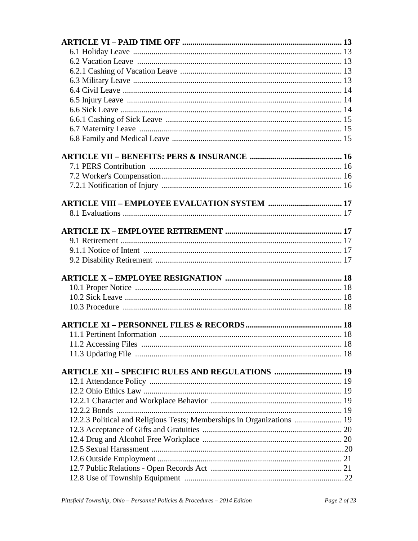| <b>ARTICLE XII - SPECIFIC RULES AND REGULATIONS  19</b>                |  |
|------------------------------------------------------------------------|--|
|                                                                        |  |
|                                                                        |  |
|                                                                        |  |
|                                                                        |  |
| 12.2.3 Political and Religious Tests; Memberships in Organizations  19 |  |
|                                                                        |  |
|                                                                        |  |
|                                                                        |  |
|                                                                        |  |
|                                                                        |  |
|                                                                        |  |
|                                                                        |  |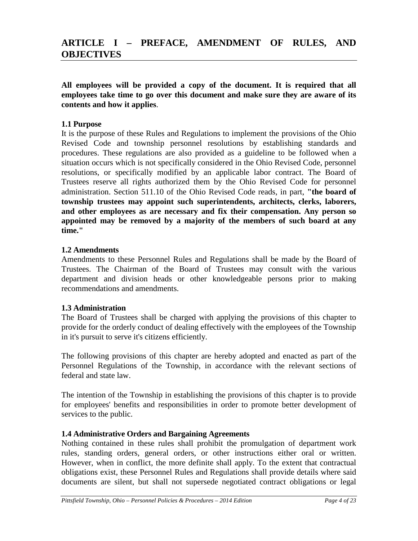# **ARTICLE I – PREFACE, AMENDMENT OF RULES, AND OBJECTIVES**

**All employees will be provided a copy of the document. It is required that all employees take time to go over this document and make sure they are aware of its contents and how it applies**.

#### **1.1 Purpose**

It is the purpose of these Rules and Regulations to implement the provisions of the Ohio Revised Code and township personnel resolutions by establishing standards and procedures. These regulations are also provided as a guideline to be followed when a situation occurs which is not specifically considered in the Ohio Revised Code, personnel resolutions, or specifically modified by an applicable labor contract. The Board of Trustees reserve all rights authorized them by the Ohio Revised Code for personnel administration. Section 511.10 of the Ohio Revised Code reads, in part, **"the board of township trustees may appoint such superintendents, architects, clerks, laborers, and other employees as are necessary and fix their compensation. Any person so appointed may be removed by a majority of the members of such board at any time."**

#### **1.2 Amendments**

Amendments to these Personnel Rules and Regulations shall be made by the Board of Trustees. The Chairman of the Board of Trustees may consult with the various department and division heads or other knowledgeable persons prior to making recommendations and amendments.

#### **1.3 Administration**

The Board of Trustees shall be charged with applying the provisions of this chapter to provide for the orderly conduct of dealing effectively with the employees of the Township in it's pursuit to serve it's citizens efficiently.

The following provisions of this chapter are hereby adopted and enacted as part of the Personnel Regulations of the Township, in accordance with the relevant sections of federal and state law.

The intention of the Township in establishing the provisions of this chapter is to provide for employees' benefits and responsibilities in order to promote better development of services to the public.

#### **1.4 Administrative Orders and Bargaining Agreements**

Nothing contained in these rules shall prohibit the promulgation of department work rules, standing orders, general orders, or other instructions either oral or written. However, when in conflict, the more definite shall apply. To the extent that contractual obligations exist, these Personnel Rules and Regulations shall provide details where said documents are silent, but shall not supersede negotiated contract obligations or legal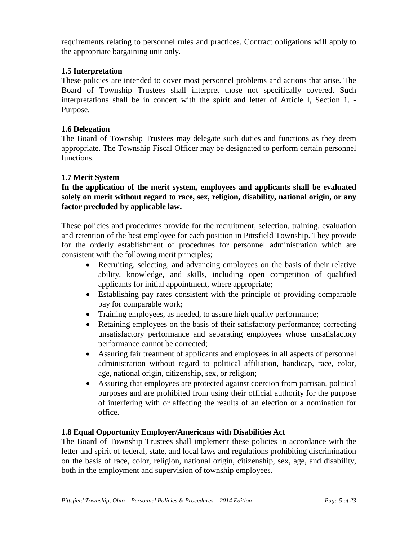requirements relating to personnel rules and practices. Contract obligations will apply to the appropriate bargaining unit only.

### **1.5 Interpretation**

These policies are intended to cover most personnel problems and actions that arise. The Board of Township Trustees shall interpret those not specifically covered. Such interpretations shall be in concert with the spirit and letter of Article I, Section 1. - Purpose.

#### **1.6 Delegation**

The Board of Township Trustees may delegate such duties and functions as they deem appropriate. The Township Fiscal Officer may be designated to perform certain personnel functions.

#### **1.7 Merit System**

**In the application of the merit system, employees and applicants shall be evaluated solely on merit without regard to race, sex, religion, disability, national origin, or any factor precluded by applicable law.**

These policies and procedures provide for the recruitment, selection, training, evaluation and retention of the best employee for each position in Pittsfield Township. They provide for the orderly establishment of procedures for personnel administration which are consistent with the following merit principles;

- Recruiting, selecting, and advancing employees on the basis of their relative ability, knowledge, and skills, including open competition of qualified applicants for initial appointment, where appropriate;
- Establishing pay rates consistent with the principle of providing comparable pay for comparable work;
- Training employees, as needed, to assure high quality performance;
- Retaining employees on the basis of their satisfactory performance; correcting unsatisfactory performance and separating employees whose unsatisfactory performance cannot be corrected;
- Assuring fair treatment of applicants and employees in all aspects of personnel administration without regard to political affiliation, handicap, race, color, age, national origin, citizenship, sex, or religion;
- Assuring that employees are protected against coercion from partisan, political purposes and are prohibited from using their official authority for the purpose of interfering with or affecting the results of an election or a nomination for office.

#### **1.8 Equal Opportunity Employer/Americans with Disabilities Act**

The Board of Township Trustees shall implement these policies in accordance with the letter and spirit of federal, state, and local laws and regulations prohibiting discrimination on the basis of race, color, religion, national origin, citizenship, sex, age, and disability, both in the employment and supervision of township employees.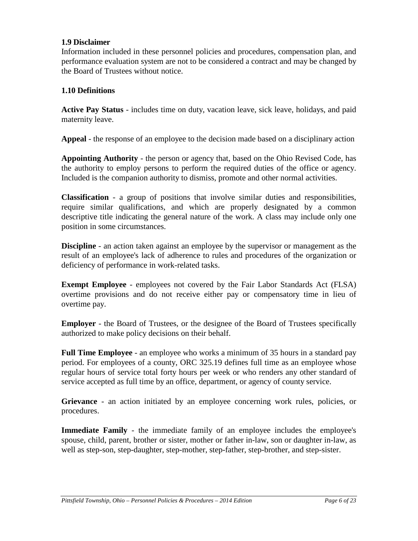#### **1.9 Disclaimer**

Information included in these personnel policies and procedures, compensation plan, and performance evaluation system are not to be considered a contract and may be changed by the Board of Trustees without notice.

#### **1.10 Definitions**

**Active Pay Status** - includes time on duty, vacation leave, sick leave, holidays, and paid maternity leave.

**Appeal** - the response of an employee to the decision made based on a disciplinary action

**Appointing Authority** - the person or agency that, based on the Ohio Revised Code, has the authority to employ persons to perform the required duties of the office or agency. Included is the companion authority to dismiss, promote and other normal activities.

**Classification** - a group of positions that involve similar duties and responsibilities, require similar qualifications, and which are properly designated by a common descriptive title indicating the general nature of the work. A class may include only one position in some circumstances.

**Discipline** - an action taken against an employee by the supervisor or management as the result of an employee's lack of adherence to rules and procedures of the organization or deficiency of performance in work-related tasks.

**Exempt Employee** - employees not covered by the Fair Labor Standards Act (FLSA) overtime provisions and do not receive either pay or compensatory time in lieu of overtime pay.

**Employer** - the Board of Trustees, or the designee of the Board of Trustees specifically authorized to make policy decisions on their behalf.

**Full Time Employee** - an employee who works a minimum of 35 hours in a standard pay period. For employees of a county, ORC 325.19 defines full time as an employee whose regular hours of service total forty hours per week or who renders any other standard of service accepted as full time by an office, department, or agency of county service.

**Grievance** - an action initiated by an employee concerning work rules, policies, or procedures.

**Immediate Family** - the immediate family of an employee includes the employee's spouse, child, parent, brother or sister, mother or father in-law, son or daughter in-law, as well as step-son, step-daughter, step-mother, step-father, step-brother, and step-sister.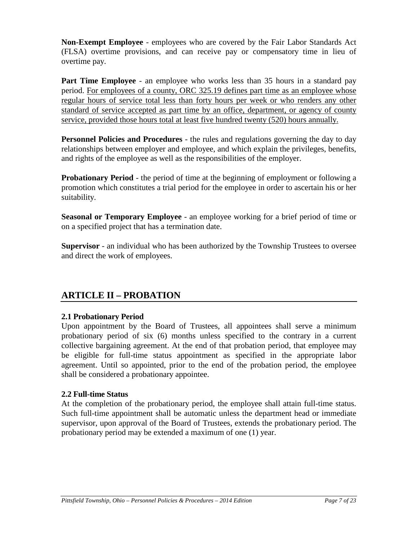**Non-Exempt Employee** - employees who are covered by the Fair Labor Standards Act (FLSA) overtime provisions, and can receive pay or compensatory time in lieu of overtime pay.

**Part Time Employee** - an employee who works less than 35 hours in a standard pay period. For employees of a county, ORC 325.19 defines part time as an employee whose regular hours of service total less than forty hours per week or who renders any other standard of service accepted as part time by an office, department, or agency of county service, provided those hours total at least five hundred twenty (520) hours annually.

**Personnel Policies and Procedures** - the rules and regulations governing the day to day relationships between employer and employee, and which explain the privileges, benefits, and rights of the employee as well as the responsibilities of the employer.

**Probationary Period** - the period of time at the beginning of employment or following a promotion which constitutes a trial period for the employee in order to ascertain his or her suitability.

**Seasonal or Temporary Employee** - an employee working for a brief period of time or on a specified project that has a termination date.

**Supervisor** - an individual who has been authorized by the Township Trustees to oversee and direct the work of employees.

# **ARTICLE II – PROBATION**

## **2.1 Probationary Period**

Upon appointment by the Board of Trustees, all appointees shall serve a minimum probationary period of six (6) months unless specified to the contrary in a current collective bargaining agreement. At the end of that probation period, that employee may be eligible for full-time status appointment as specified in the appropriate labor agreement. Until so appointed, prior to the end of the probation period, the employee shall be considered a probationary appointee.

## **2.2 Full-time Status**

At the completion of the probationary period, the employee shall attain full-time status. Such full-time appointment shall be automatic unless the department head or immediate supervisor, upon approval of the Board of Trustees, extends the probationary period. The probationary period may be extended a maximum of one (1) year.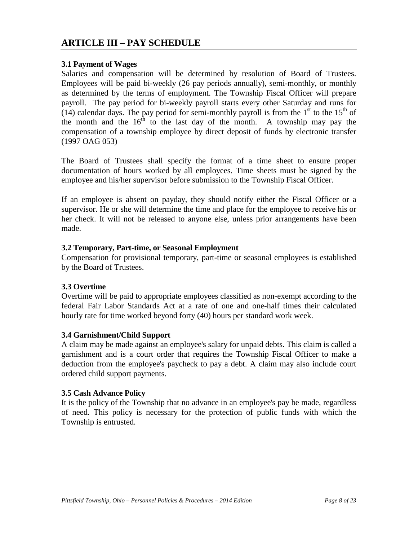# **ARTICLE III – PAY SCHEDULE**

#### **3.1 Payment of Wages**

Salaries and compensation will be determined by resolution of Board of Trustees. Employees will be paid bi-weekly (26 pay periods annually), semi-monthly, or monthly as determined by the terms of employment. The Township Fiscal Officer will prepare payroll. The pay period for bi-weekly payroll starts every other Saturday and runs for (14) calendar days. The pay period for semi-monthly payroll is from the  $1<sup>st</sup>$  to the  $15<sup>th</sup>$  of the month and the  $16<sup>th</sup>$  to the last day of the month. A township may pay the compensation of a township employee by direct deposit of funds by electronic transfer (1997 OAG 053)

The Board of Trustees shall specify the format of a time sheet to ensure proper documentation of hours worked by all employees. Time sheets must be signed by the employee and his/her supervisor before submission to the Township Fiscal Officer.

If an employee is absent on payday, they should notify either the Fiscal Officer or a supervisor. He or she will determine the time and place for the employee to receive his or her check. It will not be released to anyone else, unless prior arrangements have been made.

#### **3.2 Temporary, Part-time, or Seasonal Employment**

Compensation for provisional temporary, part-time or seasonal employees is established by the Board of Trustees.

#### **3.3 Overtime**

Overtime will be paid to appropriate employees classified as non-exempt according to the federal Fair Labor Standards Act at a rate of one and one-half times their calculated hourly rate for time worked beyond forty (40) hours per standard work week.

#### **3.4 Garnishment/Child Support**

A claim may be made against an employee's salary for unpaid debts. This claim is called a garnishment and is a court order that requires the Township Fiscal Officer to make a deduction from the employee's paycheck to pay a debt. A claim may also include court ordered child support payments.

#### **3.5 Cash Advance Policy**

It is the policy of the Township that no advance in an employee's pay be made, regardless of need. This policy is necessary for the protection of public funds with which the Township is entrusted.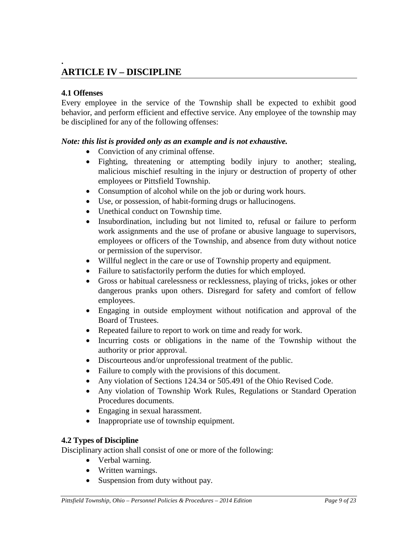## **. ARTICLE IV – DISCIPLINE**

#### **4.1 Offenses**

Every employee in the service of the Township shall be expected to exhibit good behavior, and perform efficient and effective service. Any employee of the township may be disciplined for any of the following offenses:

#### *Note: this list is provided only as an example and is not exhaustive.*

- Conviction of any criminal offense.
- Fighting, threatening or attempting bodily injury to another; stealing, malicious mischief resulting in the injury or destruction of property of other employees or Pittsfield Township.
- Consumption of alcohol while on the job or during work hours.
- Use, or possession, of habit-forming drugs or hallucinogens.
- Unethical conduct on Township time.
- Insubordination, including but not limited to, refusal or failure to perform work assignments and the use of profane or abusive language to supervisors, employees or officers of the Township, and absence from duty without notice or permission of the supervisor.
- Willful neglect in the care or use of Township property and equipment.
- Failure to satisfactorily perform the duties for which employed.
- Gross or habitual carelessness or recklessness, playing of tricks, jokes or other dangerous pranks upon others. Disregard for safety and comfort of fellow employees.
- Engaging in outside employment without notification and approval of the Board of Trustees.
- Repeated failure to report to work on time and ready for work.
- Incurring costs or obligations in the name of the Township without the authority or prior approval.
- Discourteous and/or unprofessional treatment of the public.
- Failure to comply with the provisions of this document.
- Any violation of Sections 124.34 or 505.491 of the Ohio Revised Code.
- Any violation of Township Work Rules, Regulations or Standard Operation Procedures documents.
- Engaging in sexual harassment.
- Inappropriate use of township equipment.

#### **4.2 Types of Discipline**

Disciplinary action shall consist of one or more of the following:

- Verbal warning.
- Written warnings.
- Suspension from duty without pay.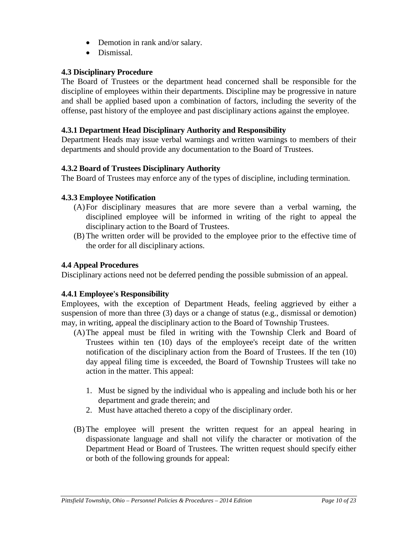- Demotion in rank and/or salary.
- Dismissal.

# **4.3 Disciplinary Procedure**

The Board of Trustees or the department head concerned shall be responsible for the discipline of employees within their departments. Discipline may be progressive in nature and shall be applied based upon a combination of factors, including the severity of the offense, past history of the employee and past disciplinary actions against the employee.

### **4.3.1 Department Head Disciplinary Authority and Responsibility**

Department Heads may issue verbal warnings and written warnings to members of their departments and should provide any documentation to the Board of Trustees.

#### **4.3.2 Board of Trustees Disciplinary Authority**

The Board of Trustees may enforce any of the types of discipline, including termination.

## **4.3.3 Employee Notification**

- (A)For disciplinary measures that are more severe than a verbal warning, the disciplined employee will be informed in writing of the right to appeal the disciplinary action to the Board of Trustees.
- (B) The written order will be provided to the employee prior to the effective time of the order for all disciplinary actions.

## **4.4 Appeal Procedures**

Disciplinary actions need not be deferred pending the possible submission of an appeal.

## **4.4.1 Employee's Responsibility**

Employees, with the exception of Department Heads, feeling aggrieved by either a suspension of more than three (3) days or a change of status (e.g., dismissal or demotion) may, in writing, appeal the disciplinary action to the Board of Township Trustees.

- (A)The appeal must be filed in writing with the Township Clerk and Board of Trustees within ten (10) days of the employee's receipt date of the written notification of the disciplinary action from the Board of Trustees. If the ten (10) day appeal filing time is exceeded, the Board of Township Trustees will take no action in the matter. This appeal:
	- 1. Must be signed by the individual who is appealing and include both his or her department and grade therein; and
	- 2. Must have attached thereto a copy of the disciplinary order.
- (B) The employee will present the written request for an appeal hearing in dispassionate language and shall not vilify the character or motivation of the Department Head or Board of Trustees. The written request should specify either or both of the following grounds for appeal: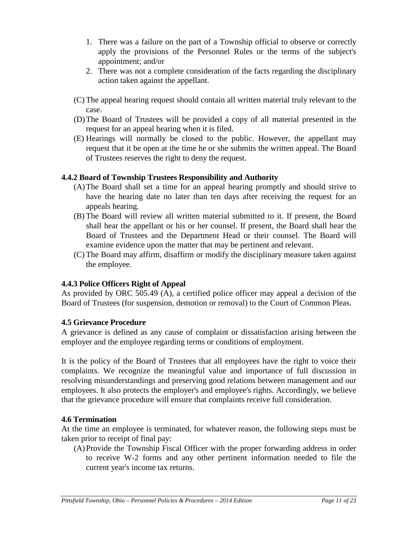- 1. There was a failure on the part of a Township official to observe or correctly apply the provisions of the Personnel Rules or the terms of the subject's appointment; and/or
- 2. There was not a complete consideration of the facts regarding the disciplinary action taken against the appellant.
- (C) The appeal hearing request should contain all written material truly relevant to the case.
- (D)The Board of Trustees will be provided a copy of all material presented in the request for an appeal hearing when it is filed.
- (E) Hearings will normally be closed to the public. However, the appellant may request that it be open at the time he or she submits the written appeal. The Board of Trustees reserves the right to deny the request.

# **4.4.2 Board of Township Trustees Responsibility and Authority**

- (A)The Board shall set a time for an appeal hearing promptly and should strive to have the hearing date no later than ten days after receiving the request for an appeals hearing.
- (B) The Board will review all written material submitted to it. If present, the Board shall hear the appellant or his or her counsel. If present, the Board shall hear the Board of Trustees and the Department Head or their counsel. The Board will examine evidence upon the matter that may be pertinent and relevant.
- (C) The Board may affirm, disaffirm or modify the disciplinary measure taken against the employee.

# **4.4.3 Police Officers Right of Appeal**

As provided by ORC 505.49 (A), a certified police officer may appeal a decision of the Board of Trustees (for suspension, demotion or removal) to the Court of Common Pleas.

# **4.5 Grievance Procedure**

A grievance is defined as any cause of complaint or dissatisfaction arising between the employer and the employee regarding terms or conditions of employment.

It is the policy of the Board of Trustees that all employees have the right to voice their complaints. We recognize the meaningful value and importance of full discussion in resolving misunderstandings and preserving good relations between management and our employees. It also protects the employer's and employee's rights. Accordingly, we believe that the grievance procedure will ensure that complaints receive full consideration.

## **4.6 Termination**

At the time an employee is terminated, for whatever reason, the following steps must be taken prior to receipt of final pay:

(A)Provide the Township Fiscal Officer with the proper forwarding address in order to receive W-2 forms and any other pertinent information needed to file the current year's income tax returns.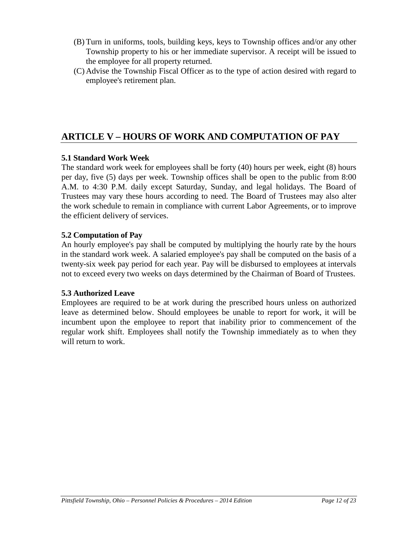- (B) Turn in uniforms, tools, building keys, keys to Township offices and/or any other Township property to his or her immediate supervisor. A receipt will be issued to the employee for all property returned.
- (C) Advise the Township Fiscal Officer as to the type of action desired with regard to employee's retirement plan.

# **ARTICLE V – HOURS OF WORK AND COMPUTATION OF PAY**

# **5.1 Standard Work Week**

The standard work week for employees shall be forty (40) hours per week, eight (8) hours per day, five (5) days per week. Township offices shall be open to the public from 8:00 A.M. to 4:30 P.M. daily except Saturday, Sunday, and legal holidays. The Board of Trustees may vary these hours according to need. The Board of Trustees may also alter the work schedule to remain in compliance with current Labor Agreements, or to improve the efficient delivery of services.

# **5.2 Computation of Pay**

An hourly employee's pay shall be computed by multiplying the hourly rate by the hours in the standard work week. A salaried employee's pay shall be computed on the basis of a twenty-six week pay period for each year. Pay will be disbursed to employees at intervals not to exceed every two weeks on days determined by the Chairman of Board of Trustees.

## **5.3 Authorized Leave**

Employees are required to be at work during the prescribed hours unless on authorized leave as determined below. Should employees be unable to report for work, it will be incumbent upon the employee to report that inability prior to commencement of the regular work shift. Employees shall notify the Township immediately as to when they will return to work.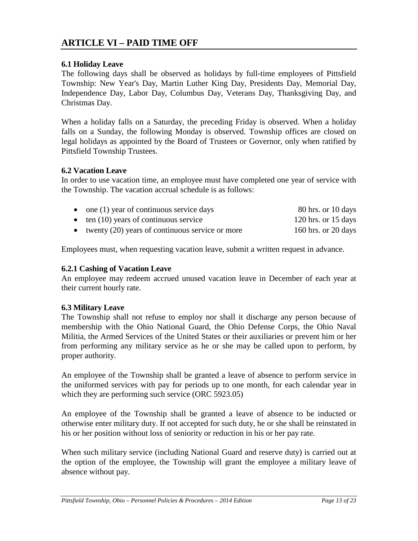# <span id="page-12-0"></span>**ARTICLE VI – PAID TIME OFF**

#### **6.1 Holiday Leave**

The following days shall be observed as holidays by full-time employees of Pittsfield Township: New Year's Day, Martin Luther King Day, Presidents Day, Memorial Day, Independence Day, Labor Day, Columbus Day, Veterans Day, Thanksgiving Day, and Christmas Day.

When a holiday falls on a Saturday, the preceding Friday is observed. When a holiday falls on a Sunday, the following Monday is observed. Township offices are closed on legal holidays as appointed by the Board of Trustees or Governor, only when ratified by Pittsfield Township Trustees.

#### **6.2 Vacation Leave**

In order to use vacation time, an employee must have completed one year of service with the Township. The vacation accrual schedule is as follows:

| $\bullet$ one (1) year of continuous service days   | 80 hrs. or 10 days    |
|-----------------------------------------------------|-----------------------|
| $\bullet$ ten (10) years of continuous service      | 120 hrs. or $15$ days |
| • twenty $(20)$ years of continuous service or more | 160 hrs. or 20 days   |

Employees must, when requesting vacation leave, submit a written request in advance.

#### **6.2.1 Cashing of Vacation Leave**

An employee may redeem accrued unused vacation leave in December of each year at their current hourly rate.

#### **6.3 Military Leave**

The Township shall not refuse to employ nor shall it discharge any person because of membership with the Ohio National Guard, the Ohio Defense Corps, the Ohio Naval Militia, the Armed Services of the United States or their auxiliaries or prevent him or her from performing any military service as he or she may be called upon to perform, by proper authority.

An employee of the Township shall be granted a leave of absence to perform service in the uniformed services with pay for periods up to one month, for each calendar year in which they are performing such service (ORC 5923.05)

An employee of the Township shall be granted a leave of absence to be inducted or otherwise enter military duty. If not accepted for such duty, he or she shall be reinstated in his or her position without loss of seniority or reduction in his or her pay rate.

When such military service (including National Guard and reserve duty) is carried out at the option of the employee, the Township will grant the employee a military leave of absence without pay.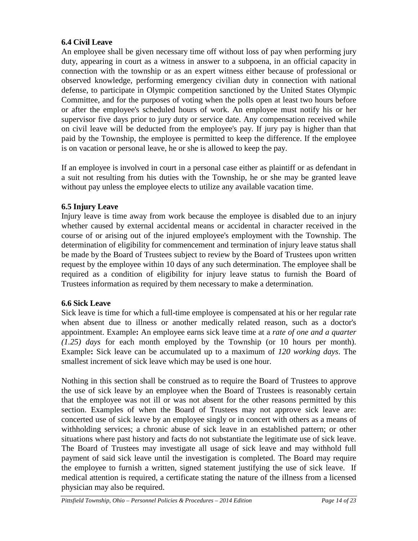# **6.4 Civil Leave**

An employee shall be given necessary time off without loss of pay when performing jury duty, appearing in court as a witness in answer to a subpoena, in an official capacity in connection with the township or as an expert witness either because of professional or observed knowledge, performing emergency civilian duty in connection with national defense, to participate in Olympic competition sanctioned by the United States Olympic Committee, and for the purposes of voting when the polls open at least two hours before or after the employee's scheduled hours of work. An employee must notify his or her supervisor five days prior to jury duty or service date. Any compensation received while on civil leave will be deducted from the employee's pay. If jury pay is higher than that paid by the Township, the employee is permitted to keep the difference. If the employee is on vacation or personal leave, he or she is allowed to keep the pay.

If an employee is involved in court in a personal case either as plaintiff or as defendant in a suit not resulting from his duties with the Township, he or she may be granted leave without pay unless the employee elects to utilize any available vacation time.

# **6.5 Injury Leave**

Injury leave is time away from work because the employee is disabled due to an injury whether caused by external accidental means or accidental in character received in the course of or arising out of the injured employee's employment with the Township. The determination of eligibility for commencement and termination of injury leave status shall be made by the Board of Trustees subject to review by the Board of Trustees upon written request by the employee within 10 days of any such determination. The employee shall be required as a condition of eligibility for injury leave status to furnish the Board of Trustees information as required by them necessary to make a determination.

## **6.6 Sick Leave**

Sick leave is time for which a full-time employee is compensated at his or her regular rate when absent due to illness or another medically related reason, such as a doctor's appointment. Example**:** An employee earns sick leave time at a *rate of one and a quarter (1.25) days* for each month employed by the Township (or 10 hours per month). Example**:** Sick leave can be accumulated up to a maximum of *120 working days*. The smallest increment of sick leave which may be used is one hour.

Nothing in this section shall be construed as to require the Board of Trustees to approve the use of sick leave by an employee when the Board of Trustees is reasonably certain that the employee was not ill or was not absent for the other reasons permitted by this section. Examples of when the Board of Trustees may not approve sick leave are: concerted use of sick leave by an employee singly or in concert with others as a means of withholding services; a chronic abuse of sick leave in an established pattern; or other situations where past history and facts do not substantiate the legitimate use of sick leave. The Board of Trustees may investigate all usage of sick leave and may withhold full payment of said sick leave until the investigation is completed. The Board may require the employee to furnish a written, signed statement justifying the use of sick leave. If medical attention is required, a certificate stating the nature of the illness from a licensed physician may also be required.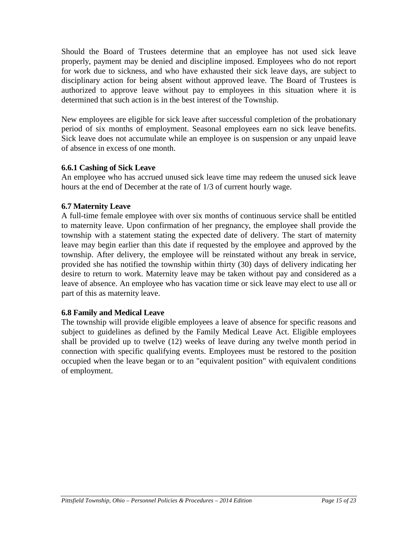Should the Board of Trustees determine that an employee has not used sick leave properly, payment may be denied and discipline imposed. Employees who do not report for work due to sickness, and who have exhausted their sick leave days, are subject to disciplinary action for being absent without approved leave. The Board of Trustees is authorized to approve leave without pay to employees in this situation where it is determined that such action is in the best interest of the Township.

New employees are eligible for sick leave after successful completion of the probationary period of six months of employment. Seasonal employees earn no sick leave benefits. Sick leave does not accumulate while an employee is on suspension or any unpaid leave of absence in excess of one month.

#### **6.6.1 Cashing of Sick Leave**

An employee who has accrued unused sick leave time may redeem the unused sick leave hours at the end of December at the rate of 1/3 of current hourly wage.

#### **6.7 Maternity Leave**

A full-time female employee with over six months of continuous service shall be entitled to maternity leave. Upon confirmation of her pregnancy, the employee shall provide the township with a statement stating the expected date of delivery. The start of maternity leave may begin earlier than this date if requested by the employee and approved by the township. After delivery, the employee will be reinstated without any break in service, provided she has notified the township within thirty (30) days of delivery indicating her desire to return to work. Maternity leave may be taken without pay and considered as a leave of absence. An employee who has vacation time or sick leave may elect to use all or part of this as maternity leave.

#### **6.8 Family and Medical Leave**

The township will provide eligible employees a leave of absence for specific reasons and subject to guidelines as defined by the Family Medical Leave Act. Eligible employees shall be provided up to twelve (12) weeks of leave during any twelve month period in connection with specific qualifying events. Employees must be restored to the position occupied when the leave began or to an "equivalent position" with equivalent conditions of employment.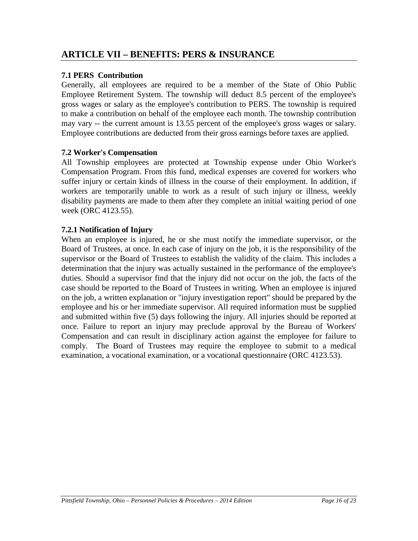# **7.1 PERS Contribution**

Generally, all employees are required to be a member of the State of Ohio Public Employee Retirement System. The township will deduct 8.5 percent of the employee's gross wages or salary as the employee's contribution to PERS. The township is required to make a contribution on behalf of the employee each month. The township contribution may vary -- the current amount is 13.55 percent of the employee's gross wages or salary. Employee contributions are deducted from their gross earnings before taxes are applied.

## **7.2 Worker's Compensation**

All Township employees are protected at Township expense under Ohio Worker's Compensation Program. From this fund, medical expenses are covered for workers who suffer injury or certain kinds of illness in the course of their employment. In addition, if workers are temporarily unable to work as a result of such injury or illness, weekly disability payments are made to them after they complete an initial waiting period of one week (ORC 4123.55).

# **7.2.1 Notification of Injury**

When an employee is injured, he or she must notify the immediate supervisor, or the Board of Trustees, at once. In each case of injury on the job, it is the responsibility of the supervisor or the Board of Trustees to establish the validity of the claim. This includes a determination that the injury was actually sustained in the performance of the employee's duties. Should a supervisor find that the injury did not occur on the job, the facts of the case should be reported to the Board of Trustees in writing. When an employee is injured on the job, a written explanation or "injury investigation report" should be prepared by the employee and his or her immediate supervisor. All required information must be supplied and submitted within five (5) days following the injury. All injuries should be reported at once. Failure to report an injury may preclude approval by the Bureau of Workers' Compensation and can result in disciplinary action against the employee for failure to comply. The Board of Trustees may require the employee to submit to a medical examination, a vocational examination, or a vocational questionnaire (ORC 4123.53).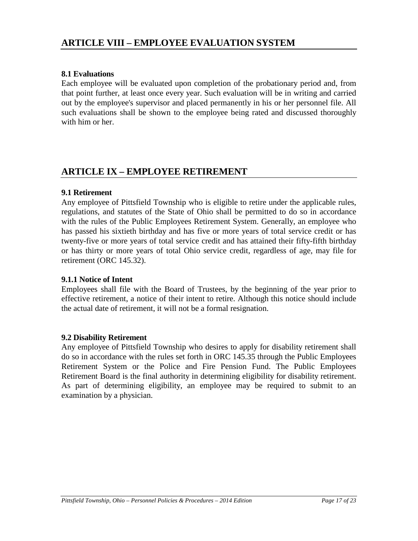#### **8.1 Evaluations**

Each employee will be evaluated upon completion of the probationary period and, from that point further, at least once every year. Such evaluation will be in writing and carried out by the employee's supervisor and placed permanently in his or her personnel file. All such evaluations shall be shown to the employee being rated and discussed thoroughly with him or her.

# **ARTICLE IX – EMPLOYEE RETIREMENT**

#### **9.1 Retirement**

Any employee of Pittsfield Township who is eligible to retire under the applicable rules, regulations, and statutes of the State of Ohio shall be permitted to do so in accordance with the rules of the Public Employees Retirement System. Generally, an employee who has passed his sixtieth birthday and has five or more years of total service credit or has twenty-five or more years of total service credit and has attained their fifty-fifth birthday or has thirty or more years of total Ohio service credit, regardless of age, may file for retirement (ORC 145.32).

#### **9.1.1 Notice of Intent**

Employees shall file with the Board of Trustees, by the beginning of the year prior to effective retirement, a notice of their intent to retire. Although this notice should include the actual date of retirement, it will not be a formal resignation.

#### **9.2 Disability Retirement**

Any employee of Pittsfield Township who desires to apply for disability retirement shall do so in accordance with the rules set forth in ORC 145.35 through the Public Employees Retirement System or the Police and Fire Pension Fund. The Public Employees Retirement Board is the final authority in determining eligibility for disability retirement. As part of determining eligibility, an employee may be required to submit to an examination by a physician.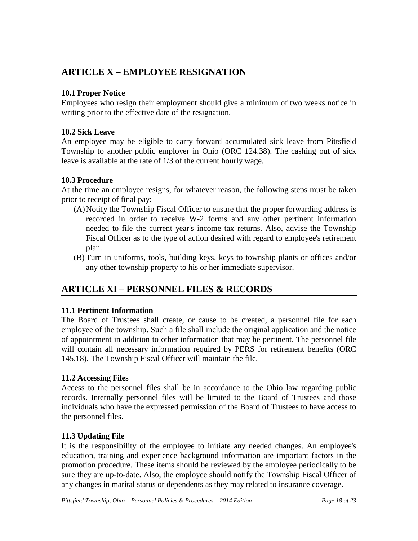# **ARTICLE X – EMPLOYEE RESIGNATION**

# **10.1 Proper Notice**

Employees who resign their employment should give a minimum of two weeks notice in writing prior to the effective date of the resignation.

# **10.2 Sick Leave**

An employee may be eligible to carry forward accumulated sick leave from Pittsfield Township to another public employer in Ohio (ORC 124.38). The cashing out of sick leave is available at the rate of 1/3 of the current hourly wage.

# **10.3 Procedure**

At the time an employee resigns, for whatever reason, the following steps must be taken prior to receipt of final pay:

- (A)Notify the Township Fiscal Officer to ensure that the proper forwarding address is recorded in order to receive W-2 forms and any other pertinent information needed to file the current year's income tax returns. Also, advise the Township Fiscal Officer as to the type of action desired with regard to employee's retirement plan.
- (B) Turn in uniforms, tools, building keys, keys to township plants or offices and/or any other township property to his or her immediate supervisor.

# **ARTICLE XI – PERSONNEL FILES & RECORDS**

## **11.1 Pertinent Information**

The Board of Trustees shall create, or cause to be created, a personnel file for each employee of the township. Such a file shall include the original application and the notice of appointment in addition to other information that may be pertinent. The personnel file will contain all necessary information required by PERS for retirement benefits (ORC 145.18). The Township Fiscal Officer will maintain the file.

## **11.2 Accessing Files**

Access to the personnel files shall be in accordance to the Ohio law regarding public records. Internally personnel files will be limited to the Board of Trustees and those individuals who have the expressed permission of the Board of Trustees to have access to the personnel files.

# **11.3 Updating File**

It is the responsibility of the employee to initiate any needed changes. An employee's education, training and experience background information are important factors in the promotion procedure. These items should be reviewed by the employee periodically to be sure they are up-to-date. Also, the employee should notify the Township Fiscal Officer of any changes in marital status or dependents as they may related to insurance coverage.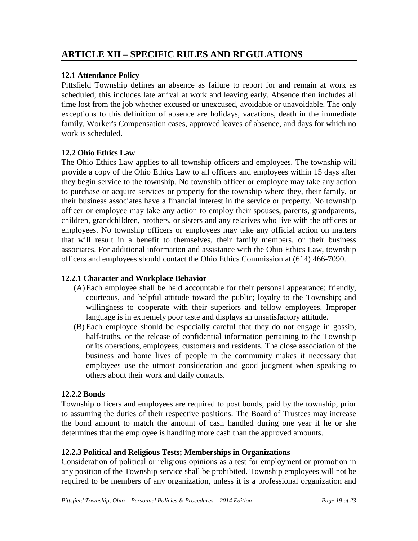# **ARTICLE XII – SPECIFIC RULES AND REGULATIONS**

#### **12.1 Attendance Policy**

Pittsfield Township defines an absence as failure to report for and remain at work as scheduled; this includes late arrival at work and leaving early. Absence then includes all time lost from the job whether excused or unexcused, avoidable or unavoidable. The only exceptions to this definition of absence are holidays, vacations, death in the immediate family, Worker's Compensation cases, approved leaves of absence, and days for which no work is scheduled.

#### **12.2 Ohio Ethics Law**

The Ohio Ethics Law applies to all township officers and employees. The township will provide a copy of the Ohio Ethics Law to all officers and employees within 15 days after they begin service to the township. No township officer or employee may take any action to purchase or acquire services or property for the township where they, their family, or their business associates have a financial interest in the service or property. No township officer or employee may take any action to employ their spouses, parents, grandparents, children, grandchildren, brothers, or sisters and any relatives who live with the officers or employees. No township officers or employees may take any official action on matters that will result in a benefit to themselves, their family members, or their business associates. For additional information and assistance with the Ohio Ethics Law, township officers and employees should contact the Ohio Ethics Commission at (614) 466-7090.

## **12.2.1 Character and Workplace Behavior**

- (A)Each employee shall be held accountable for their personal appearance; friendly, courteous, and helpful attitude toward the public; loyalty to the Township; and willingness to cooperate with their superiors and fellow employees. Improper language is in extremely poor taste and displays an unsatisfactory attitude.
- (B) Each employee should be especially careful that they do not engage in gossip, half-truths, or the release of confidential information pertaining to the Township or its operations, employees, customers and residents. The close association of the business and home lives of people in the community makes it necessary that employees use the utmost consideration and good judgment when speaking to others about their work and daily contacts.

#### **12.2.2 Bonds**

Township officers and employees are required to post bonds, paid by the township, prior to assuming the duties of their respective positions. The Board of Trustees may increase the bond amount to match the amount of cash handled during one year if he or she determines that the employee is handling more cash than the approved amounts.

#### **12.2.3 Political and Religious Tests; Memberships in Organizations**

Consideration of political or religious opinions as a test for employment or promotion in any position of the Township service shall be prohibited. Township employees will not be required to be members of any organization, unless it is a professional organization and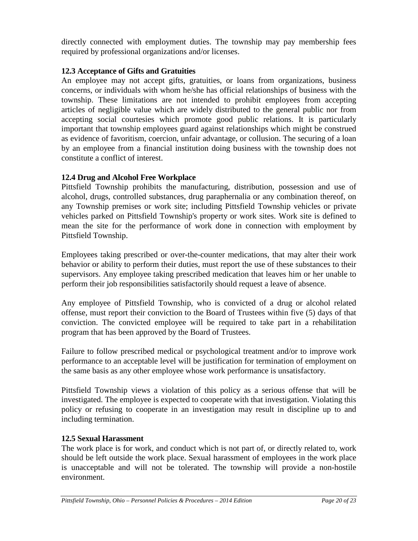directly connected with employment duties. The township may pay membership fees required by professional organizations and/or licenses.

# **12.3 Acceptance of Gifts and Gratuities**

An employee may not accept gifts, gratuities, or loans from organizations, business concerns, or individuals with whom he/she has official relationships of business with the township. These limitations are not intended to prohibit employees from accepting articles of negligible value which are widely distributed to the general public nor from accepting social courtesies which promote good public relations. It is particularly important that township employees guard against relationships which might be construed as evidence of favoritism, coercion, unfair advantage, or collusion. The securing of a loan by an employee from a financial institution doing business with the township does not constitute a conflict of interest.

# **12.4 Drug and Alcohol Free Workplace**

Pittsfield Township prohibits the manufacturing, distribution, possession and use of alcohol, drugs, controlled substances, drug paraphernalia or any combination thereof, on any Township premises or work site; including Pittsfield Township vehicles or private vehicles parked on Pittsfield Township's property or work sites. Work site is defined to mean the site for the performance of work done in connection with employment by Pittsfield Township.

Employees taking prescribed or over-the-counter medications, that may alter their work behavior or ability to perform their duties, must report the use of these substances to their supervisors. Any employee taking prescribed medication that leaves him or her unable to perform their job responsibilities satisfactorily should request a leave of absence.

Any employee of Pittsfield Township, who is convicted of a drug or alcohol related offense, must report their conviction to the Board of Trustees within five (5) days of that conviction. The convicted employee will be required to take part in a rehabilitation program that has been approved by the Board of Trustees.

Failure to follow prescribed medical or psychological treatment and/or to improve work performance to an acceptable level will be justification for termination of employment on the same basis as any other employee whose work performance is unsatisfactory.

Pittsfield Township views a violation of this policy as a serious offense that will be investigated. The employee is expected to cooperate with that investigation. Violating this policy or refusing to cooperate in an investigation may result in discipline up to and including termination.

## **12.5 Sexual Harassment**

The work place is for work, and conduct which is not part of, or directly related to, work should be left outside the work place. Sexual harassment of employees in the work place is unacceptable and will not be tolerated. The township will provide a non-hostile environment.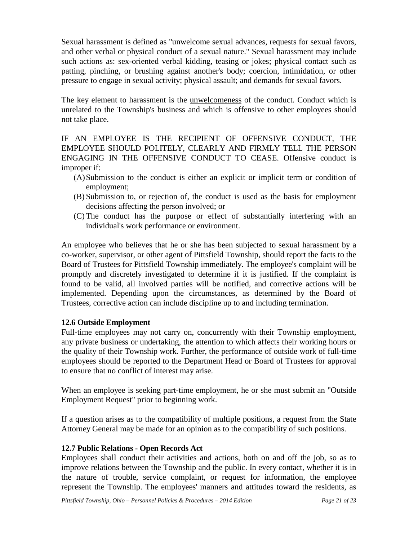Sexual harassment is defined as "unwelcome sexual advances, requests for sexual favors, and other verbal or physical conduct of a sexual nature." Sexual harassment may include such actions as: sex-oriented verbal kidding, teasing or jokes; physical contact such as patting, pinching, or brushing against another's body; coercion, intimidation, or other pressure to engage in sexual activity; physical assault; and demands for sexual favors.

The key element to harassment is the unwelcomeness of the conduct. Conduct which is unrelated to the Township's business and which is offensive to other employees should not take place.

IF AN EMPLOYEE IS THE RECIPIENT OF OFFENSIVE CONDUCT, THE EMPLOYEE SHOULD POLITELY, CLEARLY AND FIRMLY TELL THE PERSON ENGAGING IN THE OFFENSIVE CONDUCT TO CEASE. Offensive conduct is improper if:

- (A)Submission to the conduct is either an explicit or implicit term or condition of employment;
- (B) Submission to, or rejection of, the conduct is used as the basis for employment decisions affecting the person involved; or
- (C) The conduct has the purpose or effect of substantially interfering with an individual's work performance or environment.

An employee who believes that he or she has been subjected to sexual harassment by a co-worker, supervisor, or other agent of Pittsfield Township, should report the facts to the Board of Trustees for Pittsfield Township immediately. The employee's complaint will be promptly and discretely investigated to determine if it is justified. If the complaint is found to be valid, all involved parties will be notified, and corrective actions will be implemented. Depending upon the circumstances, as determined by the Board of Trustees, corrective action can include discipline up to and including termination.

## **12.6 Outside Employment**

Full-time employees may not carry on, concurrently with their Township employment, any private business or undertaking, the attention to which affects their working hours or the quality of their Township work. Further, the performance of outside work of full-time employees should be reported to the Department Head or Board of Trustees for approval to ensure that no conflict of interest may arise.

When an employee is seeking part-time employment, he or she must submit an "Outside Employment Request" prior to beginning work.

If a question arises as to the compatibility of multiple positions, a request from the State Attorney General may be made for an opinion as to the compatibility of such positions.

## **12.7 Public Relations - Open Records Act**

Employees shall conduct their activities and actions, both on and off the job, so as to improve relations between the Township and the public. In every contact, whether it is in the nature of trouble, service complaint, or request for information, the employee represent the Township. The employees' manners and attitudes toward the residents, as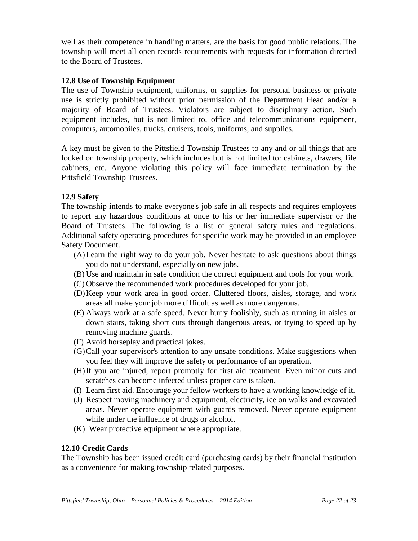well as their competence in handling matters, are the basis for good public relations. The township will meet all open records requirements with requests for information directed to the Board of Trustees.

### **12.8 Use of Township Equipment**

The use of Township equipment, uniforms, or supplies for personal business or private use is strictly prohibited without prior permission of the Department Head and/or a majority of Board of Trustees. Violators are subject to disciplinary action. Such equipment includes, but is not limited to, office and telecommunications equipment, computers, automobiles, trucks, cruisers, tools, uniforms, and supplies.

A key must be given to the Pittsfield Township Trustees to any and or all things that are locked on township property, which includes but is not limited to: cabinets, drawers, file cabinets, etc. Anyone violating this policy will face immediate termination by the Pittsfield Township Trustees.

#### **12.9 Safety**

The township intends to make everyone's job safe in all respects and requires employees to report any hazardous conditions at once to his or her immediate supervisor or the Board of Trustees. The following is a list of general safety rules and regulations. Additional safety operating procedures for specific work may be provided in an employee Safety Document.

- (A)Learn the right way to do your job. Never hesitate to ask questions about things you do not understand, especially on new jobs.
- (B) Use and maintain in safe condition the correct equipment and tools for your work.
- (C) Observe the recommended work procedures developed for your job.
- (D)Keep your work area in good order. Cluttered floors, aisles, storage, and work areas all make your job more difficult as well as more dangerous.
- (E) Always work at a safe speed. Never hurry foolishly, such as running in aisles or down stairs, taking short cuts through dangerous areas, or trying to speed up by removing machine guards.
- (F) Avoid horseplay and practical jokes.
- (G)Call your supervisor's attention to any unsafe conditions. Make suggestions when you feel they will improve the safety or performance of an operation.
- (H)If you are injured, report promptly for first aid treatment. Even minor cuts and scratches can become infected unless proper care is taken.
- (I) Learn first aid. Encourage your fellow workers to have a working knowledge of it.
- (J) Respect moving machinery and equipment, electricity, ice on walks and excavated areas. Never operate equipment with guards removed. Never operate equipment while under the influence of drugs or alcohol.
- (K) Wear protective equipment where appropriate.

## **12.10 Credit Cards**

The Township has been issued credit card (purchasing cards) by their financial institution as a convenience for making township related purposes.